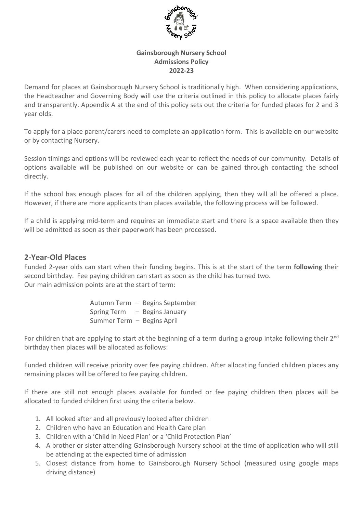

# **Gainsborough Nursery School Admissions Policy 2022-23**

Demand for places at Gainsborough Nursery School is traditionally high. When considering applications, the Headteacher and Governing Body will use the criteria outlined in this policy to allocate places fairly and transparently. Appendix A at the end of this policy sets out the criteria for funded places for 2 and 3 year olds.

To apply for a place parent/carers need to complete an application form. This is available on our website or by contacting Nursery.

Session timings and options will be reviewed each year to reflect the needs of our community. Details of options available will be published on our website or can be gained through contacting the school directly.

If the school has enough places for all of the children applying, then they will all be offered a place. However, if there are more applicants than places available, the following process will be followed.

If a child is applying mid-term and requires an immediate start and there is a space available then they will be admitted as soon as their paperwork has been processed.

# **2-Year-Old Places**

Funded 2-year olds can start when their funding begins. This is at the start of the term **following** their second birthday. Fee paying children can start as soon as the child has turned two. Our main admission points are at the start of term:

> Autumn Term – Begins September Spring Term – Begins January Summer Term – Begins April

For children that are applying to start at the beginning of a term during a group intake following their 2<sup>nd</sup> birthday then places will be allocated as follows:

Funded children will receive priority over fee paying children. After allocating funded children places any remaining places will be offered to fee paying children.

If there are still not enough places available for funded or fee paying children then places will be allocated to funded children first using the criteria below.

- 1. All looked after and all previously looked after children
- 2. Children who have an Education and Health Care plan
- 3. Children with a 'Child in Need Plan' or a 'Child Protection Plan'
- 4. A brother or sister attending Gainsborough Nursery school at the time of application who will still be attending at the expected time of admission
- 5. Closest distance from home to Gainsborough Nursery School (measured using google maps driving distance)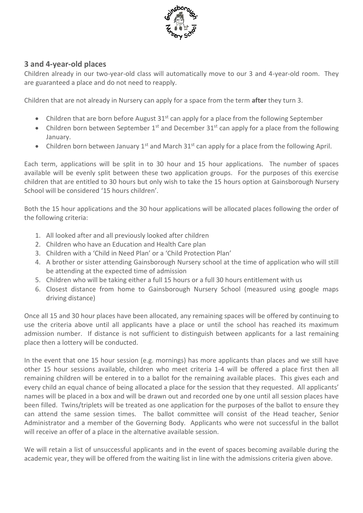

# **3 and 4-year-old places**

Children already in our two-year-old class will automatically move to our 3 and 4-year-old room. They are guaranteed a place and do not need to reapply.

Children that are not already in Nursery can apply for a space from the term **after** they turn 3.

- Children that are born before August  $31^{st}$  can apply for a place from the following September
- Children born between September  $1^{st}$  and December  $31^{st}$  can apply for a place from the following January.
- Children born between January  $1^{st}$  and March  $31^{st}$  can apply for a place from the following April.

Each term, applications will be split in to 30 hour and 15 hour applications. The number of spaces available will be evenly split between these two application groups. For the purposes of this exercise children that are entitled to 30 hours but only wish to take the 15 hours option at Gainsborough Nursery School will be considered '15 hours children'.

Both the 15 hour applications and the 30 hour applications will be allocated places following the order of the following criteria:

- 1. All looked after and all previously looked after children
- 2. Children who have an Education and Health Care plan
- 3. Children with a 'Child in Need Plan' or a 'Child Protection Plan'
- 4. A brother or sister attending Gainsborough Nursery school at the time of application who will still be attending at the expected time of admission
- 5. Children who will be taking either a full 15 hours or a full 30 hours entitlement with us
- 6. Closest distance from home to Gainsborough Nursery School (measured using google maps driving distance)

Once all 15 and 30 hour places have been allocated, any remaining spaces will be offered by continuing to use the criteria above until all applicants have a place or until the school has reached its maximum admission number. If distance is not sufficient to distinguish between applicants for a last remaining place then a lottery will be conducted.

In the event that one 15 hour session (e.g. mornings) has more applicants than places and we still have other 15 hour sessions available, children who meet criteria 1-4 will be offered a place first then all remaining children will be entered in to a ballot for the remaining available places. This gives each and every child an equal chance of being allocated a place for the session that they requested. All applicants' names will be placed in a box and will be drawn out and recorded one by one until all session places have been filled. Twins/triplets will be treated as one application for the purposes of the ballot to ensure they can attend the same session times. The ballot committee will consist of the Head teacher, Senior Administrator and a member of the Governing Body. Applicants who were not successful in the ballot will receive an offer of a place in the alternative available session.

We will retain a list of unsuccessful applicants and in the event of spaces becoming available during the academic year, they will be offered from the waiting list in line with the admissions criteria given above.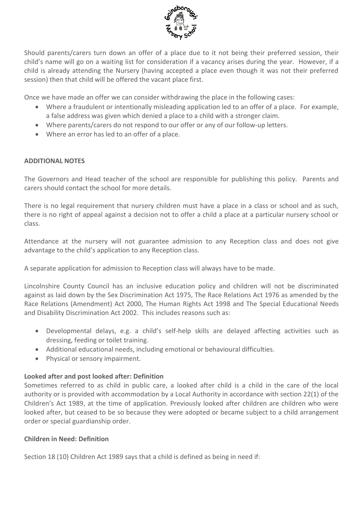

Should parents/carers turn down an offer of a place due to it not being their preferred session, their child's name will go on a waiting list for consideration if a vacancy arises during the year. However, if a child is already attending the Nursery (having accepted a place even though it was not their preferred session) then that child will be offered the vacant place first.

Once we have made an offer we can consider withdrawing the place in the following cases:

- Where a fraudulent or intentionally misleading application led to an offer of a place. For example, a false address was given which denied a place to a child with a stronger claim.
- Where parents/carers do not respond to our offer or any of our follow-up letters.
- Where an error has led to an offer of a place.

#### **ADDITIONAL NOTES**

The Governors and Head teacher of the school are responsible for publishing this policy. Parents and carers should contact the school for more details.

There is no legal requirement that nursery children must have a place in a class or school and as such, there is no right of appeal against a decision not to offer a child a place at a particular nursery school or class.

Attendance at the nursery will not guarantee admission to any Reception class and does not give advantage to the child's application to any Reception class.

A separate application for admission to Reception class will always have to be made.

Lincolnshire County Council has an inclusive education policy and children will not be discriminated against as laid down by the Sex Discrimination Act 1975, The Race Relations Act 1976 as amended by the Race Relations (Amendment) Act 2000, The Human Rights Act 1998 and The Special Educational Needs and Disability Discrimination Act 2002. This includes reasons such as:

- Developmental delays, e.g. a child's self-help skills are delayed affecting activities such as dressing, feeding or toilet training.
- Additional educational needs, including emotional or behavioural difficulties.
- Physical or sensory impairment.

## **Looked after and post looked after: Definition**

Sometimes referred to as child in public care, a looked after child is a child in the care of the local authority or is provided with accommodation by a Local Authority in accordance with section 22(1) of the Children's Act 1989, at the time of application. Previously looked after children are children who were looked after, but ceased to be so because they were adopted or became subject to a child arrangement order or special guardianship order.

#### **Children in Need: Definition**

Section 18 (10) Children Act 1989 says that a child is defined as being in need if: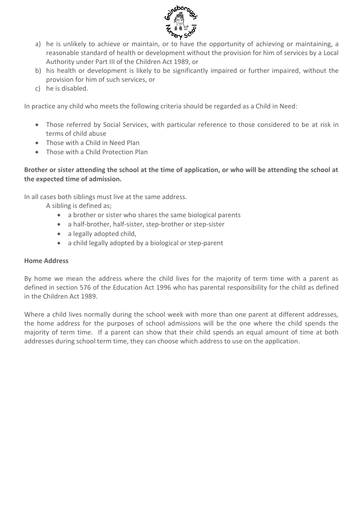

- a) he is unlikely to achieve or maintain, or to have the opportunity of achieving or maintaining, a reasonable standard of health or development without the provision for him of services by a Local Authority under Part III of the Children Act 1989, or
- b) his health or development is likely to be significantly impaired or further impaired, without the provision for him of such services, or
- c) he is disabled.

In practice any child who meets the following criteria should be regarded as a Child in Need:

- Those referred by Social Services, with particular reference to those considered to be at risk in terms of child abuse
- Those with a Child in Need Plan
- Those with a Child Protection Plan

## **Brother or sister attending the school at the time of application, or who will be attending the school at the expected time of admission.**

In all cases both siblings must live at the same address.

A sibling is defined as;

- a brother or sister who shares the same biological parents
- a half-brother, half-sister, step-brother or step-sister
- a legally adopted child,
- a child legally adopted by a biological or step-parent

## **Home Address**

By home we mean the address where the child lives for the majority of term time with a parent as defined in section 576 of the Education Act 1996 who has parental responsibility for the child as defined in the Children Act 1989.

Where a child lives normally during the school week with more than one parent at different addresses, the home address for the purposes of school admissions will be the one where the child spends the majority of term time. If a parent can show that their child spends an equal amount of time at both addresses during school term time, they can choose which address to use on the application.